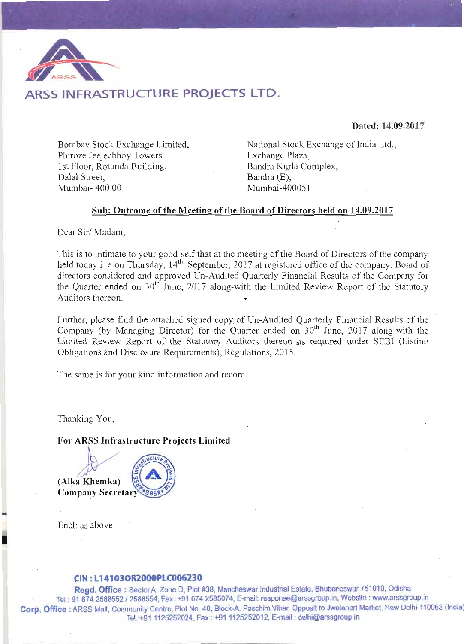

### ARSS INFRASTRUCTURE PROJECTS LTD.

Dated: 14.09.2017

Bombay Stock Exchange Limited, Phiroze Jeejeebhoy Towers 1st Floor, Rotunda Building, Dalal Street. Mumbai- 400 001

National Stock Exchange of India Ltd., Exchange Plaza, Bandra Kurla Complex, Bandra (E), Mumbai-400051

#### Sub: Outcome of the Meeting of the Board of Directors held on 14.09.2017

Dear Sir/Madam,

This is to intimate to your good-self that at the meeting of the Board of Directors of the company held today i. e on Thursday, 14<sup>th</sup> September, 2017 at registered office of the company. Board of directors considered and approved Un-Audited Quarterly Financial Results of the Company for the Quarter ended on 30<sup>th</sup> June, 2017 along-with the Limited Review Report of the Statutory Auditors thereon.

Further, please find the attached signed copy of Un-Audited Quarterly Financial Results of the Company (by Managing Director) for the Quarter ended on 30<sup>th</sup> June, 2017 along-with the Limited Review Report of the Statutory Auditors thereon as required under SEBI (Listing Obligations and Disclosure Requirements), Regulations, 2015.

The same is for your kind information and record.

Thanking You,

For ARSS Infrastructure Projects Limited

(Alka Khemka) **Company Secretary** 



Encl: as above

#### CIN: L14103OR2000PLC006230

Regd. Office: Sector A, Zone D, Plot #38, Mancheswar Industrial Estate, Bhubaneswar 751010, Odisha Tel: 91 674 2588552 / 2588554, Fax:+91 674 2585074, E-mail: response@arssgroup.in, Website: www.arssgroup.in Corp. Office: ARSS Mall, Community Centre, Plot No. 40, Block-A, Paschim Vihar, Opposit to Jwalaheri Market, New Delhi-110063 (India) Tel.:+91 1125252024, Fax: +91 1125252012, E-mail: delhi@arssgroup.in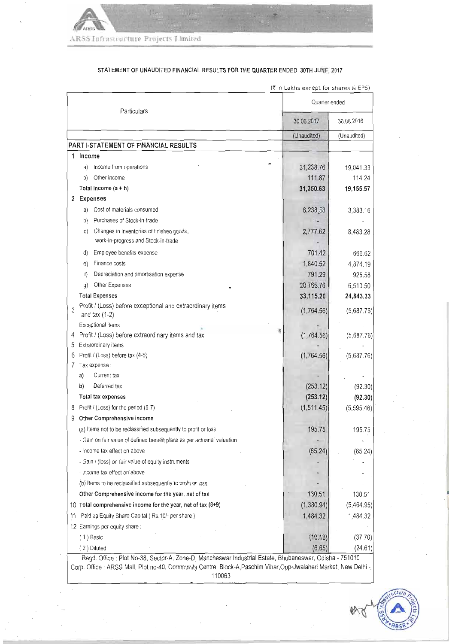

STATEMENT OF UNAUDITED FINANCIAL RESULTS FOR THE QUARTER ENDED 30TH JUNE, 2017

|    |                                                                               | Quarter ended |             |
|----|-------------------------------------------------------------------------------|---------------|-------------|
|    | Particulars                                                                   | 30.06.2017    | 30.06.2016  |
|    |                                                                               | (Unaudited)   | (Unaudited) |
|    | PART I-STATEMENT OF FINANCIAL RESULTS                                         |               |             |
| 1  | Income                                                                        |               |             |
|    | Income from operations<br>a)                                                  | 31,238.76     | 19,041.33   |
|    | Other income<br>b)                                                            | 111.87        | 114.24      |
|    | Total Income (a + b)                                                          | 31,350.63     | 19,155.57   |
|    | 2 Expenses                                                                    |               |             |
|    | Cost of materials consumed<br>a)                                              | 6,238.58      | 3,383.16    |
|    | Purchases of Stock-in-trade<br>b)                                             |               |             |
|    | Changes in Inventories of finished goods,<br>C)                               | 2,777.62      | 8,483.28    |
|    | work-in-progress and Stock-in-trade                                           |               |             |
|    | Employee benefits expense<br>d)                                               | 701.42        | 666.62      |
|    | Finance costs<br>e)                                                           | 1,840.52      | 4,874.19    |
|    | f)<br>Depreciation and amortisation expense                                   | 791.29        | 925.58      |
|    | Other Expenses<br>g)                                                          | 20,765.76     | 6,510.50    |
|    | <b>Total Expenses</b>                                                         | 33,115.20     | 24,843.33   |
| 3  | Profit / (Loss) before exceptional and extraordinary items<br>and tax $(1-2)$ | (1,764.56)    | (5,687.76)  |
|    | Exceptional items                                                             |               |             |
| 5  | Profit / (Loss) before extraordinary items and tax                            | (1,764.56)    | (5,687.76)  |
|    | Extraordinary items                                                           |               |             |
|    | Profit / (Loss) before tax (4-5)                                              | (1,764.56)    | (5,687.76)  |
| 7  | Tax expense :                                                                 |               |             |
|    | a)<br>Current tax                                                             |               |             |
|    | Deferred tax<br>b)                                                            | (253.12)      | (92.30)     |
|    | Total tax expenses                                                            | (253.12)      | (92.30)     |
|    | Profit / (Loss) for the period (6-7)                                          | (1,511.45)    | (5,595.46)  |
| 9  | Other Comprehensive income                                                    |               |             |
|    | (a) Items not to be reclassified subsequently to profit or loss               | 195.75        | 195.75      |
|    | - Gain on fair value of defined benefit plans as per actuarial valuation      |               |             |
|    | - income tax effect on above                                                  | (65.24)       | (65.24)     |
|    | - Gain / (loss) on fair value of equity instruments                           |               |             |
|    | - Income tax effect on above                                                  |               |             |
|    | (b) Items to be reclassified subsequently to profit or loss                   |               |             |
|    | Other Comprehensive income for the year, net of tax                           | 130.51        | 130.51      |
|    | 10 Total comprehensive income for the year, net of tax (8+9)                  | (1,380.94)    | (5,464.95)  |
| 11 | Paid up Equity Share Capital (Rs.10/- per share)                              | 1,484.32      | 1,484.32    |
|    | 12 Earnings per equity share:                                                 |               |             |
|    | $(1)$ Basic                                                                   | (10.18)       | (37.70)     |
|    | (2) Diluted                                                                   | (6.65)        | (24.61)     |

(₹ in Lakhs except for shares & EPS)

Corp. Office : ARSS Mall, Plot no-40, Community Centre, Block-A, Paschim Vihar, Opp-Jwalaheri Market, New Delhi 110063

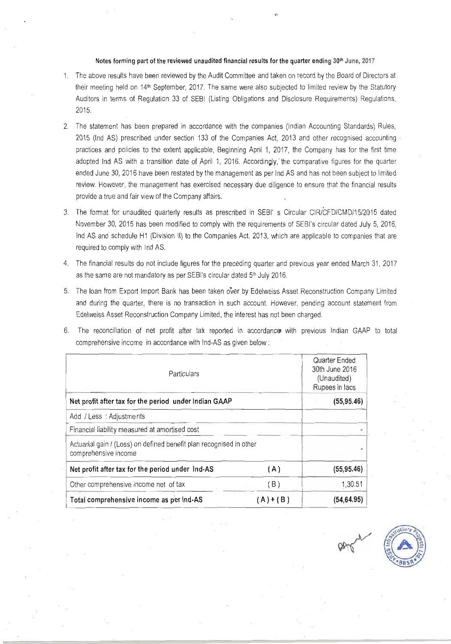#### Notes forming part of the reviewed unaudited financial results for the quarter ending 30th June, 2017

- 1. The above results have been reviewed by the Audit Committee and taken on record by the Board of Directors at their meeting held on 14<sup>th</sup> September, 2017. The same were also subjected to limited review by the Statutory Auditors in terms of Regulation 33 of SEBI (Listing Obligations and Disclosure Requirements) Regulations, 2015.
- 2. The statement has been prepared in accordance with the companies (Indian Accounting Standards) Rules, 2015 (Ind AS) prescribed under section 133 of the Companies Act, 2013 and other recognised accounting practices and policies to the extent applicable, Beginning April 1, 2017, the Company has for the first time adopted Ind AS with a transition date of April 1, 2016. Accordingly, the comparative figures for the quarter ended June 30, 2016 have been restated by the management as per Ind AS and has not been subject to limited review. However, the management has exercised necessary due diligence to ensure that the financial results provide a true and fair view of the Company affairs.
- 3. The format for unaudited quarterly results as prescribed in SEBI's Circular CIR/CFD/CMD/15/2015 dated November 30, 2015 has been modified to comply with the requirements of SEBI's circular dated July 5, 2016, Ind AS and schedule H1 (Division II) to the Companies Act, 2013, which are applicable to companies that are required to comply with Ind AS.
- 4. The financial results do not include figures for the preceding quarter and previous year ended March 31, 2017 as the same are not mandatory as per SEBI's circular dated 5<sup>th</sup> July 2016.
- 5. The loan from Export Import Bank has been taken over by Edelweiss Asset Reconstruction Company Limited and during the quarter, there is no transaction in such account. However, pending account statement from Edelweiss Asset Reconstruction Company Limited, the interest has not been charged.
- 6. The reconciliation of net profit after tax reported in accordance with previous Indian GAAP to total comprehensive income in accordance with Ind-AS as given below:

| Particulars                                                                                 | Quarter Ended<br>30th June 2016<br>(Unaudited)<br>Rupees in lacs |             |
|---------------------------------------------------------------------------------------------|------------------------------------------------------------------|-------------|
| Net profit after tax for the period under Indian GAAP                                       |                                                                  | (55, 95.46) |
| Add / Less : Adjustments                                                                    |                                                                  |             |
| Financial liability measured at amortised cost                                              |                                                                  |             |
| Actuarial gain 7 (Loss) on defined benefit plan recognised in other<br>comprehensive income |                                                                  |             |
| Net profit after tax for the period under Ind-AS                                            | (A)                                                              | (55, 95.46) |
| Other comprehensive income net of tax                                                       | (B)                                                              | 1,30.51     |
| Total comprehensive income as per Ind-AS                                                    | $(A)+(B)$                                                        | (54, 64.95) |

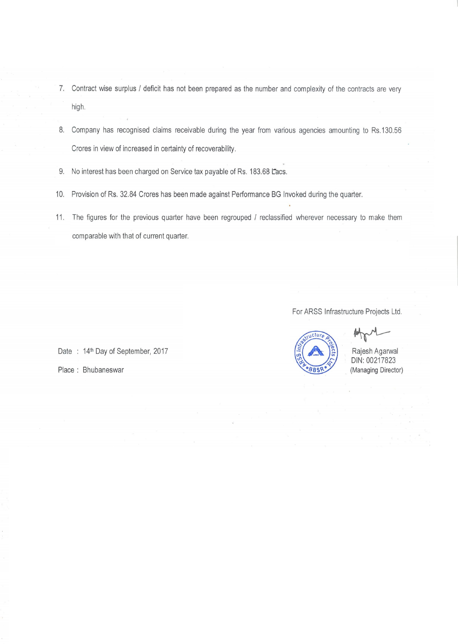- 7. Contract wise surplus / deficit has not been prepared as the number and complexity of the contracts are very high.
- 8. Company has recognised claims receivable during the year from various agencies amounting to Rs.130.56 Crores in view of increased in certainty of recoverability.
- 9. No interest has been charged on Service tax payable of Rs. 183.68 Lacs.
- 10. Provision of Rs. 32.84 Crores has been made against Performance BG Invoked during the quarter.
- 11. The figures for the previous quarter have been regrouped / reclassified wherever necessary to make them comparable with that of current quarter.

For ARSS Infrastructure Projects Ltd.



Rajesh Agarwal DIN: 00217823 (Managing Director)

Date: 14<sup>th</sup> Day of September, 2017

Place: Bhubaneswar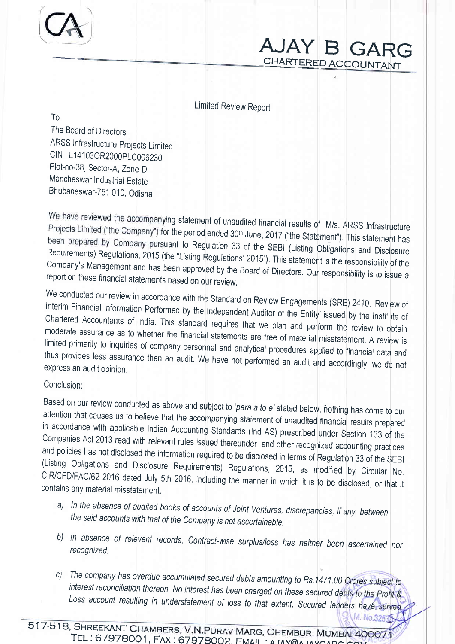## AJAY B GARG; CHARTERED ACCOUNTANT

Limited Review Report

To

The Boarcl of Directors ARSS Infrastructure Projects Limited CIN : L14t 030R2000plC006230 Plot-no-38, Sector-A, Zone\_D Mancheswar Industrial Estate Bhubaneswar-751 010, Odisha

We have reviewed the accompanying statement of unaudited financial results of M/s. ARSS Infrastructure Projects Limited ("the Company") for the period ended 30<sup>th</sup> June, 2017 ("the Statement"). This statement has been prepared by Company pursuant to Regulation 33 of the SEBI (Listing Obligations and Disclosure<br>Requirements) Regulations 2015 (the "Listing Poquiations' 0045", The State Obligations and Disclosure company's Management Requirements) Regulations, 2015 (the "Listing Regulations' 2015"). This statement is the responsibility of the<br>Company's Management and has been approved by the Board of Directors. Our responsibility is to issue a<br>report o

We conducted our review in accordance with the Standard on Review Engagements (SRE) 2410, 'Review of Interim Financial Information Performed by the Independent Auditor of the Entity' issued by the Institute of Chartered Accountants of India. This standard requires that we plan and perform the review to obtain moderate assurance as to whether the financial statements are free of material misstatement. A review is limited primarily to inquiries of company personnel and analytical procedures applied to financial data and thus prov

### Conclusion:

Based on our review conducted as above and subject to '*para a to e*' stated below, nothing has come to our attention that causes us to believe that the accompanying statement of unaudited financial results prepared in acc

- a) In the absence of audited books of accounts of Joint Ventures, discrepancies, if any, between the said accounts with that of the Company is not ascertainable.
- b) In absence of relevant records, Contract-wise surplus/loss has neither been ascertained nor reccgnized.
- c) The company has overdue accumulated secured debts amounting to Rs.1471.00 Crores subject to interest reconciliation thereon. No interest has been charged on these secured debts to the Profit & Loss account resulting in understatement of loss to that extent. Secured lenders have M. No.3253